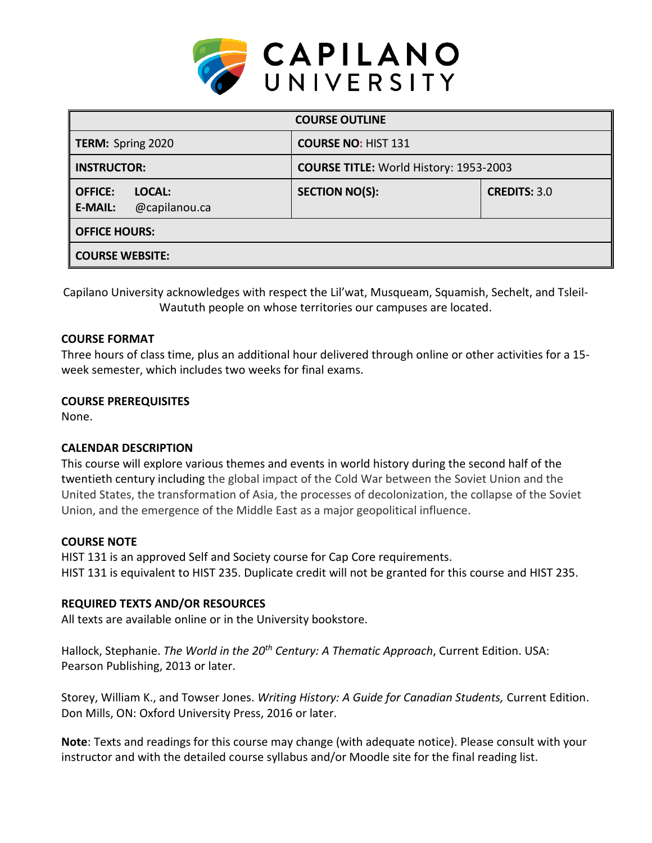

| <b>COURSE OUTLINE</b>                                       |                                               |                     |  |  |  |
|-------------------------------------------------------------|-----------------------------------------------|---------------------|--|--|--|
| <b>TERM: Spring 2020</b>                                    | <b>COURSE NO: HIST 131</b>                    |                     |  |  |  |
| <b>INSTRUCTOR:</b>                                          | <b>COURSE TITLE: World History: 1953-2003</b> |                     |  |  |  |
| <b>OFFICE:</b><br>LOCAL:<br>@capilanou.ca<br><b>E-MAIL:</b> | <b>SECTION NO(S):</b>                         | <b>CREDITS: 3.0</b> |  |  |  |
| <b>OFFICE HOURS:</b>                                        |                                               |                     |  |  |  |
| <b>COURSE WEBSITE:</b>                                      |                                               |                     |  |  |  |

Capilano University acknowledges with respect the Lil'wat, Musqueam, Squamish, Sechelt, and Tsleil-Waututh people on whose territories our campuses are located.

#### **COURSE FORMAT**

Three hours of class time, plus an additional hour delivered through online or other activities for a 15 week semester, which includes two weeks for final exams.

#### **COURSE PREREQUISITES**

None.

## **CALENDAR DESCRIPTION**

This course will explore various themes and events in world history during the second half of the twentieth century including the global impact of the Cold War between the Soviet Union and the United States, the transformation of Asia, the processes of decolonization, the collapse of the Soviet Union, and the emergence of the Middle East as a major geopolitical influence.

## **COURSE NOTE**

HIST 131 is an approved Self and Society course for Cap Core requirements. HIST 131 is equivalent to HIST 235. Duplicate credit will not be granted for this course and HIST 235.

## **REQUIRED TEXTS AND/OR RESOURCES**

All texts are available online or in the University bookstore.

Hallock, Stephanie. *The World in the 20th Century: A Thematic Approach*, Current Edition. USA: Pearson Publishing, 2013 or later.

Storey, William K., and Towser Jones. *Writing History: A Guide for Canadian Students,* Current Edition. Don Mills, ON: Oxford University Press, 2016 or later.

**Note**: Texts and readings for this course may change (with adequate notice). Please consult with your instructor and with the detailed course syllabus and/or Moodle site for the final reading list.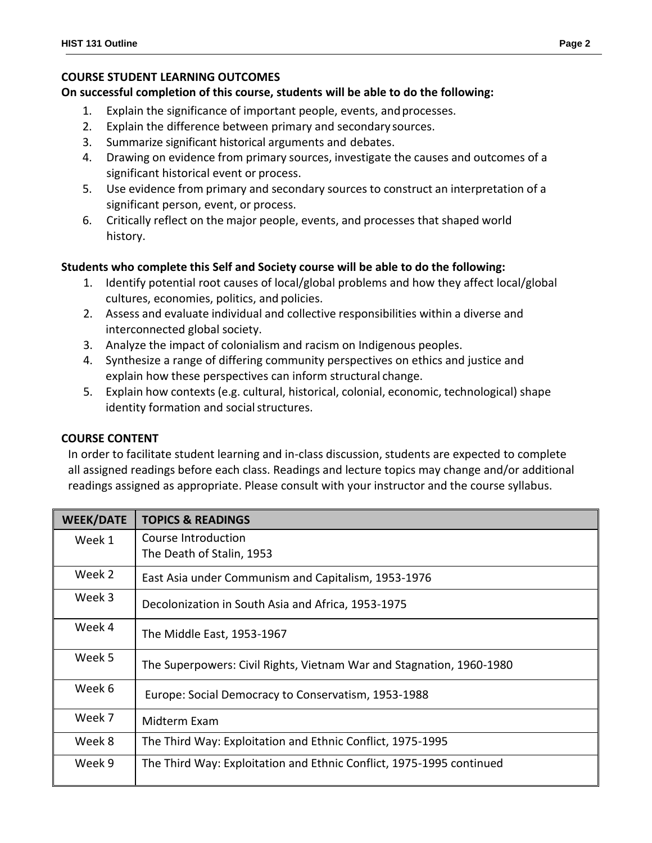## **COURSE STUDENT LEARNING OUTCOMES**

#### **On successful completion of this course, students will be able to do the following:**

- 1. Explain the significance of important people, events, and processes.
- 2. Explain the difference between primary and secondary sources.
- 3. Summarize significant historical arguments and debates.
- 4. Drawing on evidence from primary sources, investigate the causes and outcomes of a significant historical event or process.
- 5. Use evidence from primary and secondary sources to construct an interpretation of a significant person, event, or process.
- 6. Critically reflect on the major people, events, and processes that shaped world history.

## **Students who complete this Self and Society course will be able to do the following:**

- 1. Identify potential root causes of local/global problems and how they affect local/global cultures, economies, politics, and policies.
- 2. Assess and evaluate individual and collective responsibilities within a diverse and interconnected global society.
- 3. Analyze the impact of colonialism and racism on Indigenous peoples.
- 4. Synthesize a range of differing community perspectives on ethics and justice and explain how these perspectives can inform structural change.
- 5. Explain how contexts (e.g. cultural, historical, colonial, economic, technological) shape identity formation and social structures.

## **COURSE CONTENT**

In order to facilitate student learning and in-class discussion, students are expected to complete all assigned readings before each class. Readings and lecture topics may change and/or additional readings assigned as appropriate. Please consult with your instructor and the course syllabus.

| <b>WEEK/DATE</b> | <b>TOPICS &amp; READINGS</b>                                         |  |  |
|------------------|----------------------------------------------------------------------|--|--|
| Week 1           | Course Introduction<br>The Death of Stalin, 1953                     |  |  |
|                  |                                                                      |  |  |
| Week 2           | East Asia under Communism and Capitalism, 1953-1976                  |  |  |
| Week 3           | Decolonization in South Asia and Africa, 1953-1975                   |  |  |
| Week 4           | The Middle East, 1953-1967                                           |  |  |
| Week 5           | The Superpowers: Civil Rights, Vietnam War and Stagnation, 1960-1980 |  |  |
| Week 6           | Europe: Social Democracy to Conservatism, 1953-1988                  |  |  |
| Week 7           | Midterm Exam                                                         |  |  |
| Week 8           | The Third Way: Exploitation and Ethnic Conflict, 1975-1995           |  |  |
| Week 9           | The Third Way: Exploitation and Ethnic Conflict, 1975-1995 continued |  |  |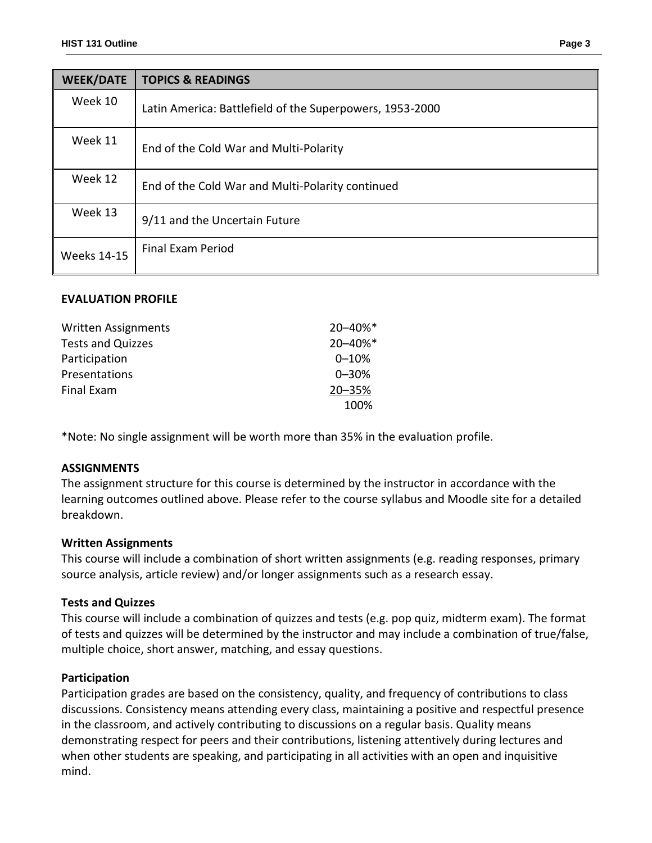| <b>WEEK/DATE</b>   | <b>TOPICS &amp; READINGS</b>                             |  |  |
|--------------------|----------------------------------------------------------|--|--|
| Week 10            | Latin America: Battlefield of the Superpowers, 1953-2000 |  |  |
| Week 11            | End of the Cold War and Multi-Polarity                   |  |  |
| Week 12            | End of the Cold War and Multi-Polarity continued         |  |  |
| Week 13            | 9/11 and the Uncertain Future                            |  |  |
| <b>Weeks 14-15</b> | <b>Final Exam Period</b>                                 |  |  |

#### **EVALUATION PROFILE**

| <b>Written Assignments</b> | 20-40%*   |
|----------------------------|-----------|
| <b>Tests and Quizzes</b>   | 20-40%*   |
| Participation              | $0 - 10%$ |
| Presentations              | $0 - 30%$ |
| Final Exam                 | 20-35%    |
|                            | 100%      |

\*Note: No single assignment will be worth more than 35% in the evaluation profile.

#### **ASSIGNMENTS**

The assignment structure for this course is determined by the instructor in accordance with the learning outcomes outlined above. Please refer to the course syllabus and Moodle site for a detailed breakdown.

#### **Written Assignments**

This course will include a combination of short written assignments (e.g. reading responses, primary source analysis, article review) and/or longer assignments such as a research essay.

#### **Tests and Quizzes**

This course will include a combination of quizzes and tests (e.g. pop quiz, midterm exam). The format of tests and quizzes will be determined by the instructor and may include a combination of true/false, multiple choice, short answer, matching, and essay questions.

#### **Participation**

Participation grades are based on the consistency, quality, and frequency of contributions to class discussions. Consistency means attending every class, maintaining a positive and respectful presence in the classroom, and actively contributing to discussions on a regular basis. Quality means demonstrating respect for peers and their contributions, listening attentively during lectures and when other students are speaking, and participating in all activities with an open and inquisitive mind.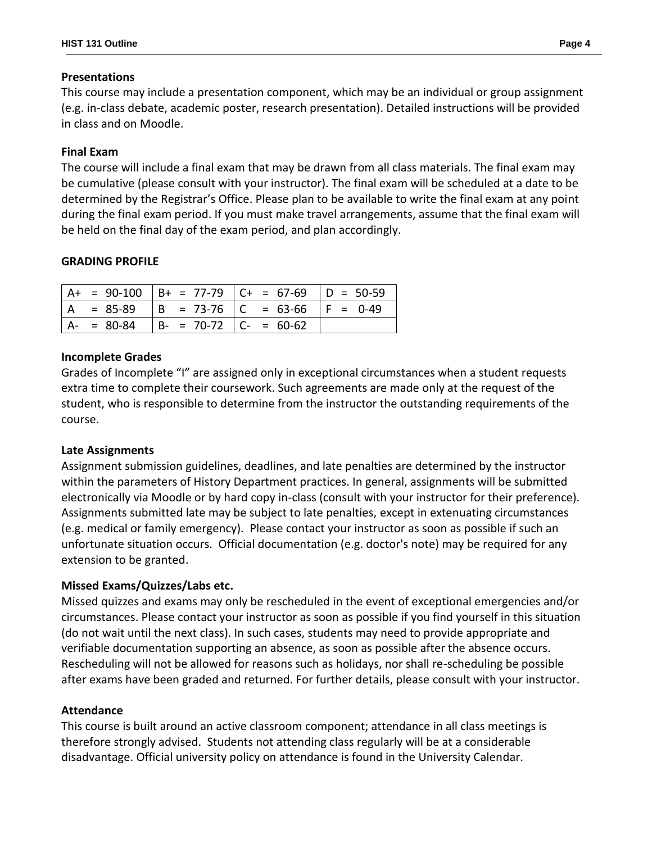## **Presentations**

This course may include a presentation component, which may be an individual or group assignment (e.g. in-class debate, academic poster, research presentation). Detailed instructions will be provided in class and on Moodle.

# **Final Exam**

The course will include a final exam that may be drawn from all class materials. The final exam may be cumulative (please consult with your instructor). The final exam will be scheduled at a date to be determined by the Registrar's Office. Please plan to be available to write the final exam at any point during the final exam period. If you must make travel arrangements, assume that the final exam will be held on the final day of the exam period, and plan accordingly.

## **GRADING PROFILE**

|         |                               | $A+ = 90-100$ $B+ = 77-79$ $C+ = 67-69$ $D = 50-59$ |  |
|---------|-------------------------------|-----------------------------------------------------|--|
| = 85-89 |                               | $  B = 73-76   C = 63-66   F = 0-49$                |  |
| = 80-84 | $  B - = 70-72   C - = 60-62$ |                                                     |  |

## **Incomplete Grades**

Grades of Incomplete "I" are assigned only in exceptional circumstances when a student requests extra time to complete their coursework. Such agreements are made only at the request of the student, who is responsible to determine from the instructor the outstanding requirements of the course.

## **Late Assignments**

Assignment submission guidelines, deadlines, and late penalties are determined by the instructor within the parameters of History Department practices. In general, assignments will be submitted electronically via Moodle or by hard copy in-class (consult with your instructor for their preference). Assignments submitted late may be subject to late penalties, except in extenuating circumstances (e.g. medical or family emergency). Please contact your instructor as soon as possible if such an unfortunate situation occurs. Official documentation (e.g. doctor's note) may be required for any extension to be granted.

## **Missed Exams/Quizzes/Labs etc.**

Missed quizzes and exams may only be rescheduled in the event of exceptional emergencies and/or circumstances. Please contact your instructor as soon as possible if you find yourself in this situation (do not wait until the next class). In such cases, students may need to provide appropriate and verifiable documentation supporting an absence, as soon as possible after the absence occurs. Rescheduling will not be allowed for reasons such as holidays, nor shall re-scheduling be possible after exams have been graded and returned. For further details, please consult with your instructor.

## **Attendance**

This course is built around an active classroom component; attendance in all class meetings is therefore strongly advised. Students not attending class regularly will be at a considerable disadvantage. Official university policy on attendance is found in the University Calendar.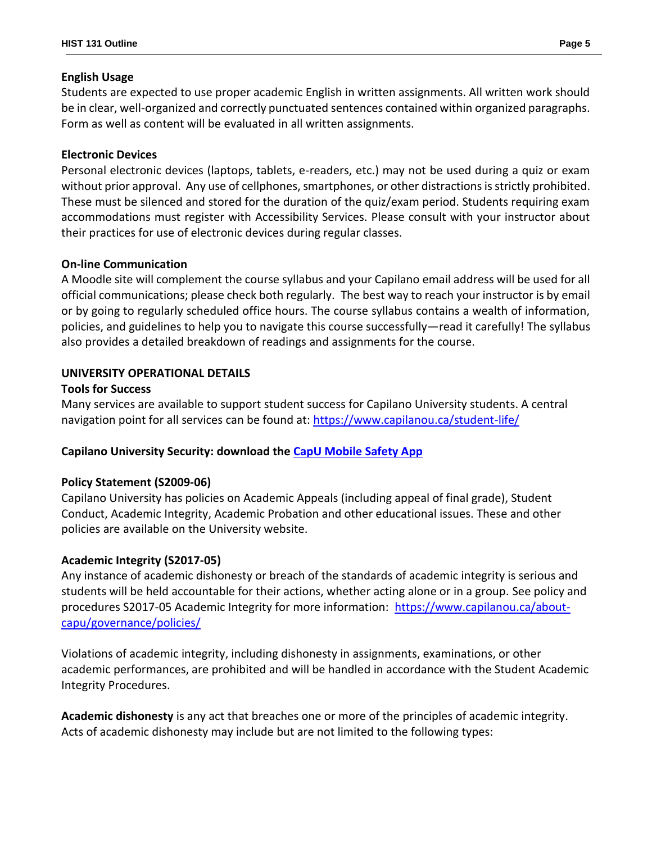## **English Usage**

Students are expected to use proper academic English in written assignments. All written work should be in clear, well-organized and correctly punctuated sentences contained within organized paragraphs. Form as well as content will be evaluated in all written assignments.

# **Electronic Devices**

Personal electronic devices (laptops, tablets, e-readers, etc.) may not be used during a quiz or exam without prior approval. Any use of cellphones, smartphones, or other distractions is strictly prohibited. These must be silenced and stored for the duration of the quiz/exam period. Students requiring exam accommodations must register with Accessibility Services. Please consult with your instructor about their practices for use of electronic devices during regular classes.

## **On-line Communication**

A Moodle site will complement the course syllabus and your Capilano email address will be used for all official communications; please check both regularly. The best way to reach your instructor is by email or by going to regularly scheduled office hours. The course syllabus contains a wealth of information, policies, and guidelines to help you to navigate this course successfully—read it carefully! The syllabus also provides a detailed breakdown of readings and assignments for the course.

# **UNIVERSITY OPERATIONAL DETAILS**

## **Tools for Success**

Many services are available to support student success for Capilano University students. A central navigation point for all services can be found at:<https://www.capilanou.ca/student-life/>

# **Capilano University Security: download the [CapU Mobile Safety App](https://www.capilanou.ca/student-life/support--wellness/safety--security/capu-safe-app/)**

# **Policy Statement (S2009-06)**

Capilano University has policies on Academic Appeals (including appeal of final grade), Student Conduct, Academic Integrity, Academic Probation and other educational issues. These and other policies are available on the University website.

# **Academic Integrity (S2017-05)**

Any instance of academic dishonesty or breach of the standards of academic integrity is serious and students will be held accountable for their actions, whether acting alone or in a group. See policy and procedures S2017-05 Academic Integrity for more information: [https://www.capilanou.ca/about](https://www.capilanou.ca/about-capu/governance/policies/)[capu/governance/policies/](https://www.capilanou.ca/about-capu/governance/policies/)

Violations of academic integrity, including dishonesty in assignments, examinations, or other academic performances, are prohibited and will be handled in accordance with the Student Academic Integrity Procedures.

**Academic dishonesty** is any act that breaches one or more of the principles of academic integrity. Acts of academic dishonesty may include but are not limited to the following types: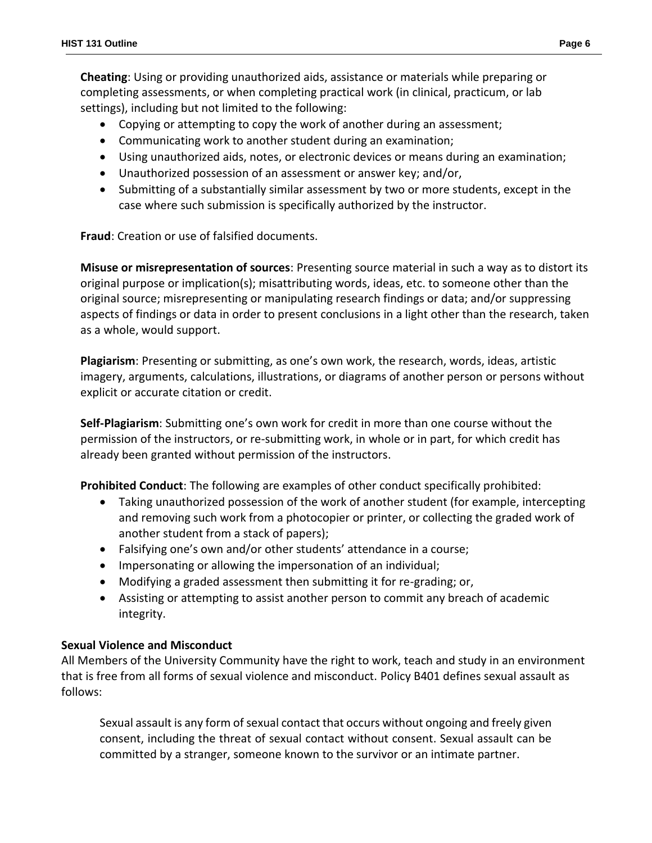**Cheating**: Using or providing unauthorized aids, assistance or materials while preparing or completing assessments, or when completing practical work (in clinical, practicum, or lab settings), including but not limited to the following:

- Copying or attempting to copy the work of another during an assessment;
- Communicating work to another student during an examination;
- Using unauthorized aids, notes, or electronic devices or means during an examination;
- Unauthorized possession of an assessment or answer key; and/or,
- Submitting of a substantially similar assessment by two or more students, except in the case where such submission is specifically authorized by the instructor.

**Fraud**: Creation or use of falsified documents.

**Misuse or misrepresentation of sources**: Presenting source material in such a way as to distort its original purpose or implication(s); misattributing words, ideas, etc. to someone other than the original source; misrepresenting or manipulating research findings or data; and/or suppressing aspects of findings or data in order to present conclusions in a light other than the research, taken as a whole, would support.

**Plagiarism**: Presenting or submitting, as one's own work, the research, words, ideas, artistic imagery, arguments, calculations, illustrations, or diagrams of another person or persons without explicit or accurate citation or credit.

**Self-Plagiarism**: Submitting one's own work for credit in more than one course without the permission of the instructors, or re-submitting work, in whole or in part, for which credit has already been granted without permission of the instructors.

**Prohibited Conduct**: The following are examples of other conduct specifically prohibited:

- Taking unauthorized possession of the work of another student (for example, intercepting and removing such work from a photocopier or printer, or collecting the graded work of another student from a stack of papers);
- Falsifying one's own and/or other students' attendance in a course;
- Impersonating or allowing the impersonation of an individual;
- Modifying a graded assessment then submitting it for re-grading; or,
- Assisting or attempting to assist another person to commit any breach of academic integrity.

## **Sexual Violence and Misconduct**

All Members of the University Community have the right to work, teach and study in an environment that is free from all forms of sexual violence and misconduct. Policy B401 defines sexual assault as follows:

Sexual assault is any form of sexual contact that occurs without ongoing and freely given consent, including the threat of sexual contact without consent. Sexual assault can be committed by a stranger, someone known to the survivor or an intimate partner.